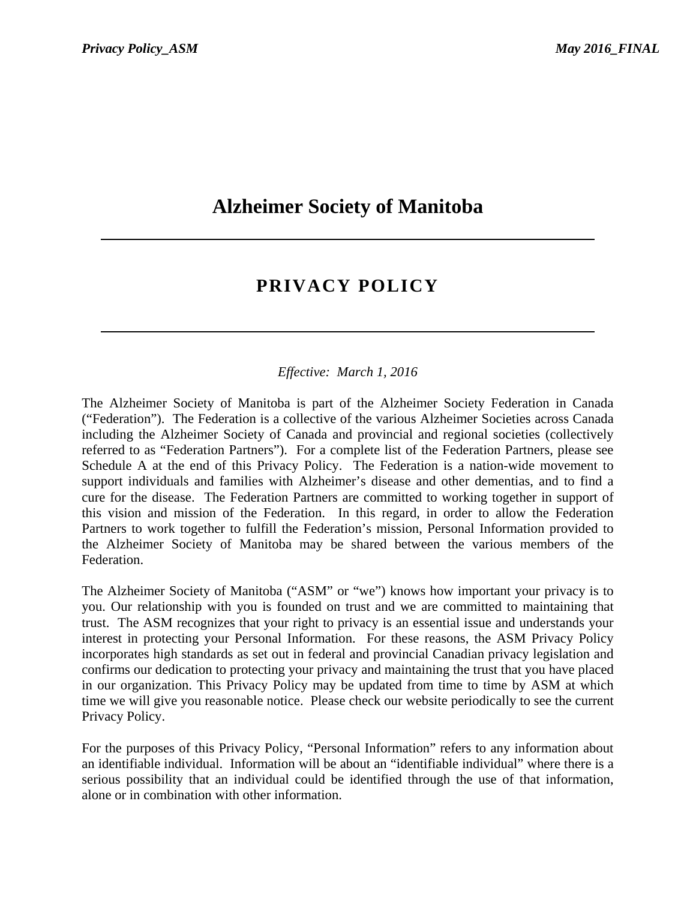# **Alzheimer Society of Manitoba**

# **PRIVACY POLICY**

# *Effective: March 1, 2016*

The Alzheimer Society of Manitoba is part of the Alzheimer Society Federation in Canada ("Federation"). The Federation is a collective of the various Alzheimer Societies across Canada including the Alzheimer Society of Canada and provincial and regional societies (collectively referred to as "Federation Partners"). For a complete list of the Federation Partners, please see Schedule A at the end of this Privacy Policy. The Federation is a nation-wide movement to support individuals and families with Alzheimer's disease and other dementias, and to find a cure for the disease. The Federation Partners are committed to working together in support of this vision and mission of the Federation. In this regard, in order to allow the Federation Partners to work together to fulfill the Federation's mission, Personal Information provided to the Alzheimer Society of Manitoba may be shared between the various members of the Federation.

The Alzheimer Society of Manitoba ("ASM" or "we") knows how important your privacy is to you. Our relationship with you is founded on trust and we are committed to maintaining that trust. The ASM recognizes that your right to privacy is an essential issue and understands your interest in protecting your Personal Information. For these reasons, the ASM Privacy Policy incorporates high standards as set out in federal and provincial Canadian privacy legislation and confirms our dedication to protecting your privacy and maintaining the trust that you have placed in our organization. This Privacy Policy may be updated from time to time by ASM at which time we will give you reasonable notice. Please check our website periodically to see the current Privacy Policy.

For the purposes of this Privacy Policy, "Personal Information" refers to any information about an identifiable individual. Information will be about an "identifiable individual" where there is a serious possibility that an individual could be identified through the use of that information, alone or in combination with other information.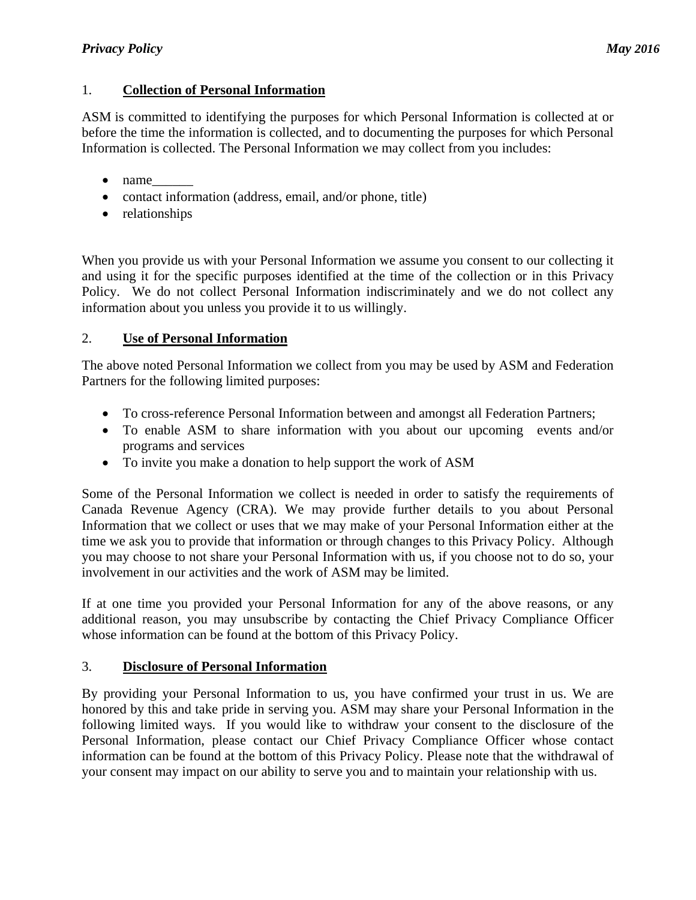# 1. **Collection of Personal Information**

ASM is committed to identifying the purposes for which Personal Information is collected at or before the time the information is collected, and to documenting the purposes for which Personal Information is collected. The Personal Information we may collect from you includes:

- name
- contact information (address, email, and/or phone, title)
- relationships

When you provide us with your Personal Information we assume you consent to our collecting it and using it for the specific purposes identified at the time of the collection or in this Privacy Policy. We do not collect Personal Information indiscriminately and we do not collect any information about you unless you provide it to us willingly.

# 2. **Use of Personal Information**

The above noted Personal Information we collect from you may be used by ASM and Federation Partners for the following limited purposes:

- To cross-reference Personal Information between and amongst all Federation Partners;
- To enable ASM to share information with you about our upcoming events and/or programs and services
- To invite you make a donation to help support the work of ASM

Some of the Personal Information we collect is needed in order to satisfy the requirements of Canada Revenue Agency (CRA). We may provide further details to you about Personal Information that we collect or uses that we may make of your Personal Information either at the time we ask you to provide that information or through changes to this Privacy Policy. Although you may choose to not share your Personal Information with us, if you choose not to do so, your involvement in our activities and the work of ASM may be limited.

If at one time you provided your Personal Information for any of the above reasons, or any additional reason, you may unsubscribe by contacting the Chief Privacy Compliance Officer whose information can be found at the bottom of this Privacy Policy.

# 3. **Disclosure of Personal Information**

By providing your Personal Information to us, you have confirmed your trust in us. We are honored by this and take pride in serving you. ASM may share your Personal Information in the following limited ways. If you would like to withdraw your consent to the disclosure of the Personal Information, please contact our Chief Privacy Compliance Officer whose contact information can be found at the bottom of this Privacy Policy. Please note that the withdrawal of your consent may impact on our ability to serve you and to maintain your relationship with us.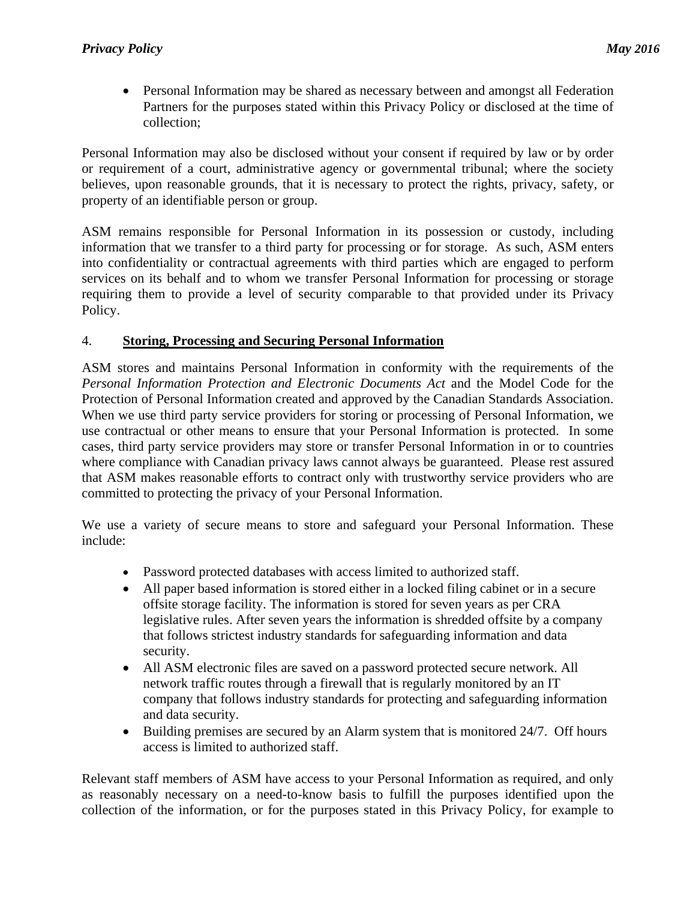Personal Information may be shared as necessary between and amongst all Federation Partners for the purposes stated within this Privacy Policy or disclosed at the time of collection;

Personal Information may also be disclosed without your consent if required by law or by order or requirement of a court, administrative agency or governmental tribunal; where the society believes, upon reasonable grounds, that it is necessary to protect the rights, privacy, safety, or property of an identifiable person or group.

ASM remains responsible for Personal Information in its possession or custody, including information that we transfer to a third party for processing or for storage. As such, ASM enters into confidentiality or contractual agreements with third parties which are engaged to perform services on its behalf and to whom we transfer Personal Information for processing or storage requiring them to provide a level of security comparable to that provided under its Privacy Policy.

# 4. **Storing, Processing and Securing Personal Information**

ASM stores and maintains Personal Information in conformity with the requirements of the *Personal Information Protection and Electronic Documents Act* and the Model Code for the Protection of Personal Information created and approved by the Canadian Standards Association. When we use third party service providers for storing or processing of Personal Information, we use contractual or other means to ensure that your Personal Information is protected. In some cases, third party service providers may store or transfer Personal Information in or to countries where compliance with Canadian privacy laws cannot always be guaranteed. Please rest assured that ASM makes reasonable efforts to contract only with trustworthy service providers who are committed to protecting the privacy of your Personal Information.

We use a variety of secure means to store and safeguard your Personal Information. These include:

- Password protected databases with access limited to authorized staff.
- All paper based information is stored either in a locked filing cabinet or in a secure offsite storage facility. The information is stored for seven years as per CRA legislative rules. After seven years the information is shredded offsite by a company that follows strictest industry standards for safeguarding information and data security.
- All ASM electronic files are saved on a password protected secure network. All network traffic routes through a firewall that is regularly monitored by an IT company that follows industry standards for protecting and safeguarding information and data security.
- Building premises are secured by an Alarm system that is monitored 24/7. Off hours access is limited to authorized staff.

Relevant staff members of ASM have access to your Personal Information as required, and only as reasonably necessary on a need-to-know basis to fulfill the purposes identified upon the collection of the information, or for the purposes stated in this Privacy Policy, for example to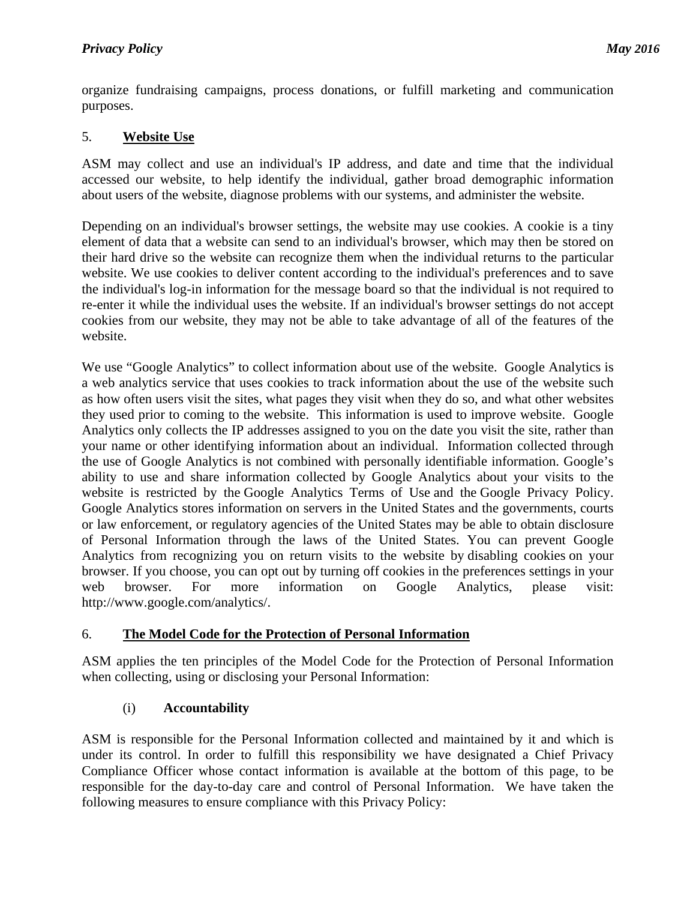organize fundraising campaigns, process donations, or fulfill marketing and communication purposes.

# 5. **Website Use**

ASM may collect and use an individual's IP address, and date and time that the individual accessed our website, to help identify the individual, gather broad demographic information about users of the website, diagnose problems with our systems, and administer the website.

Depending on an individual's browser settings, the website may use cookies. A cookie is a tiny element of data that a website can send to an individual's browser, which may then be stored on their hard drive so the website can recognize them when the individual returns to the particular website. We use cookies to deliver content according to the individual's preferences and to save the individual's log-in information for the message board so that the individual is not required to re-enter it while the individual uses the website. If an individual's browser settings do not accept cookies from our website, they may not be able to take advantage of all of the features of the website.

We use "Google Analytics" to collect information about use of the website. Google Analytics is a web analytics service that uses cookies to track information about the use of the website such as how often users visit the sites, what pages they visit when they do so, and what other websites they used prior to coming to the website. This information is used to improve website. Google Analytics only collects the IP addresses assigned to you on the date you visit the site, rather than your name or other identifying information about an individual. Information collected through the use of Google Analytics is not combined with personally identifiable information. Google's ability to use and share information collected by Google Analytics about your visits to the website is restricted by the Google Analytics Terms of Use and the Google Privacy Policy. Google Analytics stores information on servers in the United States and the governments, courts or law enforcement, or regulatory agencies of the United States may be able to obtain disclosure of Personal Information through the laws of the United States. You can prevent Google Analytics from recognizing you on return visits to the website by disabling cookies on your browser. If you choose, you can opt out by turning off cookies in the preferences settings in your web browser. For more information on Google Analytics, please visit: http://www.google.com/analytics/.

# 6. **The Model Code for the Protection of Personal Information**

ASM applies the ten principles of the Model Code for the Protection of Personal Information when collecting, using or disclosing your Personal Information:

# (i) **Accountability**

ASM is responsible for the Personal Information collected and maintained by it and which is under its control. In order to fulfill this responsibility we have designated a Chief Privacy Compliance Officer whose contact information is available at the bottom of this page, to be responsible for the day-to-day care and control of Personal Information. We have taken the following measures to ensure compliance with this Privacy Policy: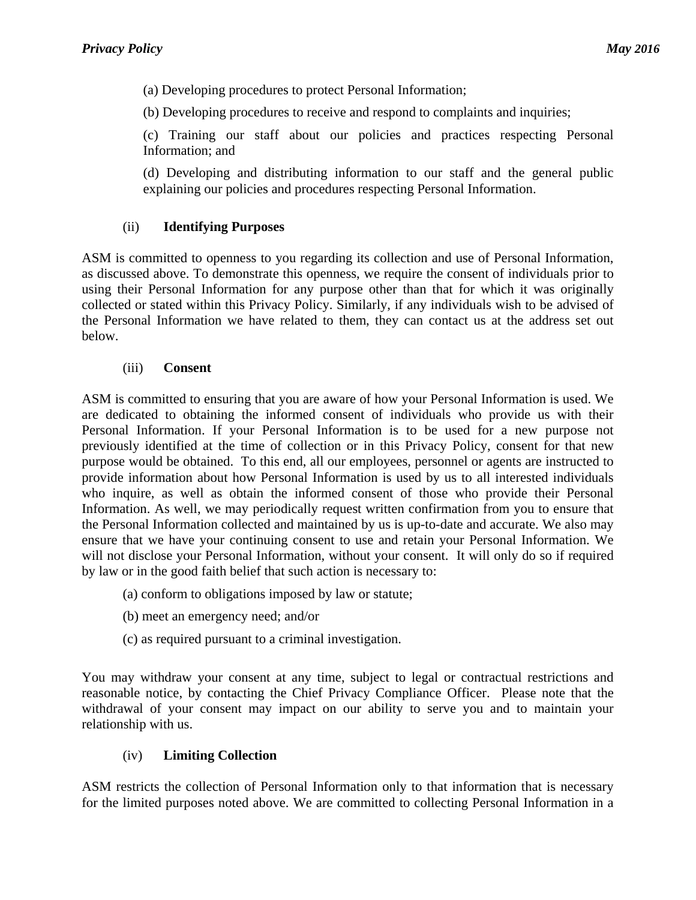(a) Developing procedures to protect Personal Information;

(b) Developing procedures to receive and respond to complaints and inquiries;

(c) Training our staff about our policies and practices respecting Personal Information; and

(d) Developing and distributing information to our staff and the general public explaining our policies and procedures respecting Personal Information.

#### (ii) **Identifying Purposes**

ASM is committed to openness to you regarding its collection and use of Personal Information, as discussed above. To demonstrate this openness, we require the consent of individuals prior to using their Personal Information for any purpose other than that for which it was originally collected or stated within this Privacy Policy. Similarly, if any individuals wish to be advised of the Personal Information we have related to them, they can contact us at the address set out below.

#### (iii) **Consent**

ASM is committed to ensuring that you are aware of how your Personal Information is used. We are dedicated to obtaining the informed consent of individuals who provide us with their Personal Information. If your Personal Information is to be used for a new purpose not previously identified at the time of collection or in this Privacy Policy, consent for that new purpose would be obtained. To this end, all our employees, personnel or agents are instructed to provide information about how Personal Information is used by us to all interested individuals who inquire, as well as obtain the informed consent of those who provide their Personal Information. As well, we may periodically request written confirmation from you to ensure that the Personal Information collected and maintained by us is up-to-date and accurate. We also may ensure that we have your continuing consent to use and retain your Personal Information. We will not disclose your Personal Information, without your consent. It will only do so if required by law or in the good faith belief that such action is necessary to:

- (a) conform to obligations imposed by law or statute;
- (b) meet an emergency need; and/or
- (c) as required pursuant to a criminal investigation.

You may withdraw your consent at any time, subject to legal or contractual restrictions and reasonable notice, by contacting the Chief Privacy Compliance Officer. Please note that the withdrawal of your consent may impact on our ability to serve you and to maintain your relationship with us.

## (iv) **Limiting Collection**

ASM restricts the collection of Personal Information only to that information that is necessary for the limited purposes noted above. We are committed to collecting Personal Information in a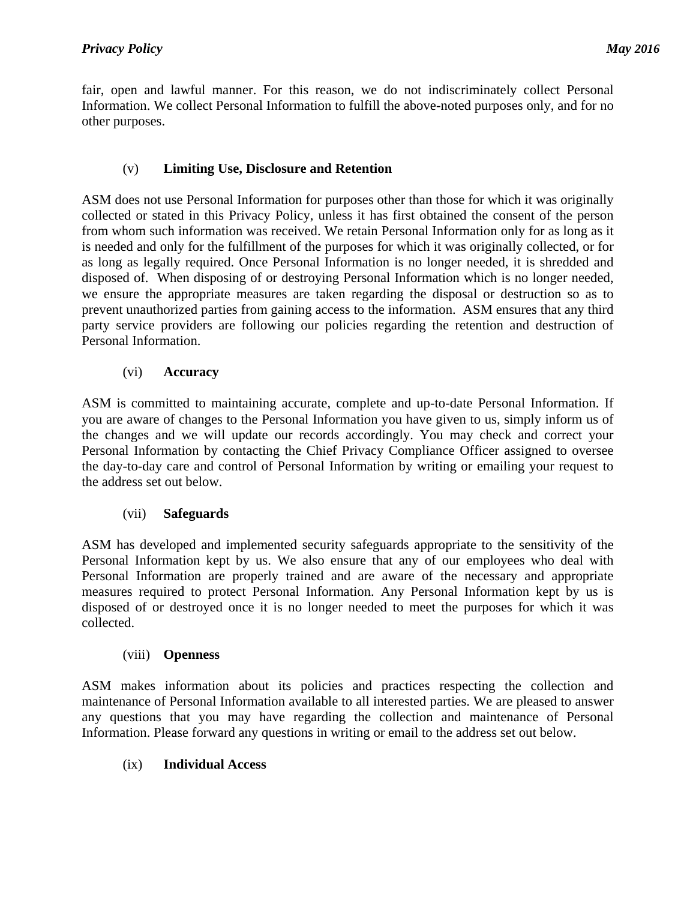fair, open and lawful manner. For this reason, we do not indiscriminately collect Personal Information. We collect Personal Information to fulfill the above-noted purposes only, and for no other purposes.

# (v) **Limiting Use, Disclosure and Retention**

ASM does not use Personal Information for purposes other than those for which it was originally collected or stated in this Privacy Policy, unless it has first obtained the consent of the person from whom such information was received. We retain Personal Information only for as long as it is needed and only for the fulfillment of the purposes for which it was originally collected, or for as long as legally required. Once Personal Information is no longer needed, it is shredded and disposed of. When disposing of or destroying Personal Information which is no longer needed, we ensure the appropriate measures are taken regarding the disposal or destruction so as to prevent unauthorized parties from gaining access to the information. ASM ensures that any third party service providers are following our policies regarding the retention and destruction of Personal Information.

# (vi) **Accuracy**

ASM is committed to maintaining accurate, complete and up-to-date Personal Information. If you are aware of changes to the Personal Information you have given to us, simply inform us of the changes and we will update our records accordingly. You may check and correct your Personal Information by contacting the Chief Privacy Compliance Officer assigned to oversee the day-to-day care and control of Personal Information by writing or emailing your request to the address set out below.

## (vii) **Safeguards**

ASM has developed and implemented security safeguards appropriate to the sensitivity of the Personal Information kept by us. We also ensure that any of our employees who deal with Personal Information are properly trained and are aware of the necessary and appropriate measures required to protect Personal Information. Any Personal Information kept by us is disposed of or destroyed once it is no longer needed to meet the purposes for which it was collected.

## (viii) **Openness**

ASM makes information about its policies and practices respecting the collection and maintenance of Personal Information available to all interested parties. We are pleased to answer any questions that you may have regarding the collection and maintenance of Personal Information. Please forward any questions in writing or email to the address set out below.

## (ix) **Individual Access**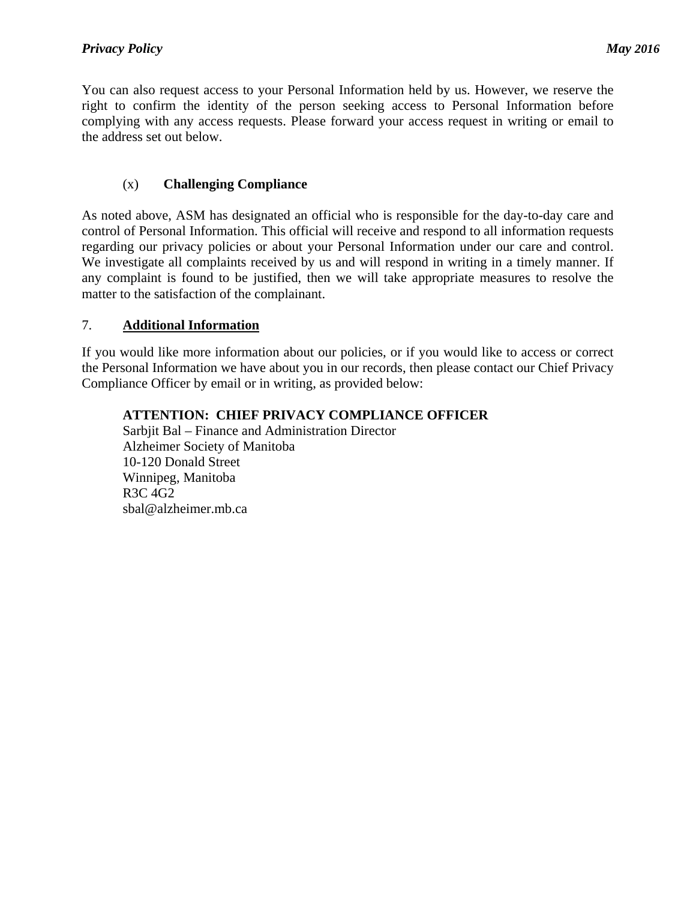You can also request access to your Personal Information held by us. However, we reserve the right to confirm the identity of the person seeking access to Personal Information before complying with any access requests. Please forward your access request in writing or email to the address set out below.

# (x) **Challenging Compliance**

As noted above, ASM has designated an official who is responsible for the day-to-day care and control of Personal Information. This official will receive and respond to all information requests regarding our privacy policies or about your Personal Information under our care and control. We investigate all complaints received by us and will respond in writing in a timely manner. If any complaint is found to be justified, then we will take appropriate measures to resolve the matter to the satisfaction of the complainant.

## 7. **Additional Information**

If you would like more information about our policies, or if you would like to access or correct the Personal Information we have about you in our records, then please contact our Chief Privacy Compliance Officer by email or in writing, as provided below:

## **ATTENTION: CHIEF PRIVACY COMPLIANCE OFFICER**

Sarbjit Bal – Finance and Administration Director Alzheimer Society of Manitoba 10-120 Donald Street Winnipeg, Manitoba R3C 4G2 sbal@alzheimer.mb.ca